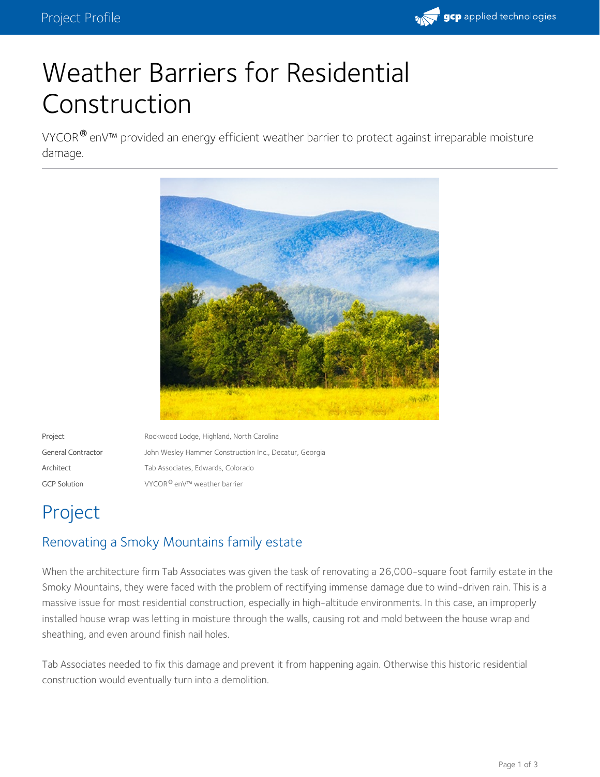

# Weather Barriers for Residential Construction

VYCOR $^\circledR$  enV™ provided an energy efficient weather barrier to protect against irreparable moisture damage.



Project **Rockwood Lodge, Highland, North Carolina** General Contractor **John Wesley Hammer Construction Inc., Decatur, Georgia** Architect Tab Associates, Edwards, Colorado GCP Solution  $VYCOR<sup>®</sup>$  enV<sup>™</sup> weather barrier

# Project

### Renovating a Smoky Mountains family estate

When the architecture firm Tab Associates was given the task of renovating a 26,000-square foot family estate in the Smoky Mountains, they were faced with the problem of rectifying immense damage due to wind-driven rain. This is a massive issue for most residential construction, especially in high-altitude environments. In this case, an improperly installed house wrap was letting in moisture through the walls, causing rot and mold between the house wrap and sheathing, and even around finish nail holes.

Tab Associates needed to fix this damage and prevent it from happening again. Otherwise this historic residential construction would eventually turn into a demolition.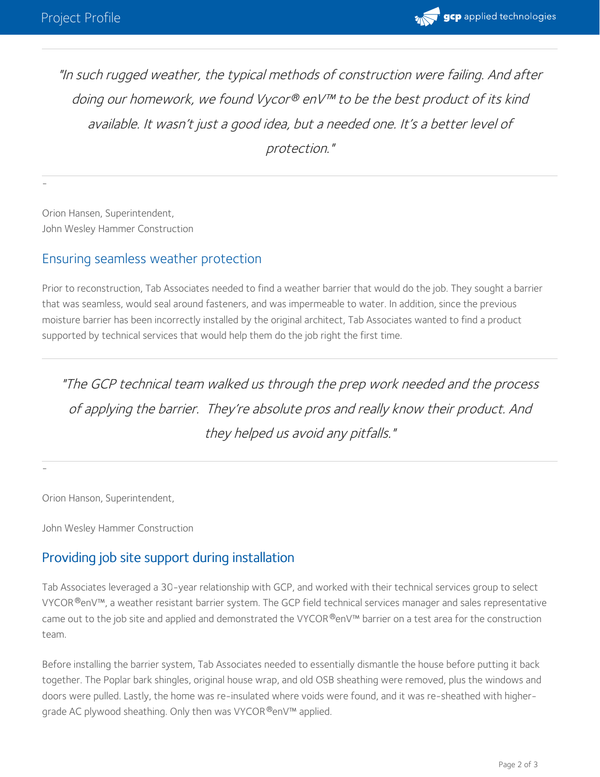-

-



"In such rugged weather, the typical methods of construction were failing. And after doing our homework, we found Vycor® enV™ to be the best product of its kind available. It wasn't just <sup>a</sup> good idea, but <sup>a</sup> needed one. It's <sup>a</sup> better level of protection."

Orion Hansen, Superintendent, John Wesley Hammer Construction

#### Ensuring seamless weather protection

Prior to reconstruction, Tab Associates needed to find a weather barrier that would do the job. They sought a barrier that was seamless, would seal around fasteners, and was impermeable to water. In addition, since the previous moisture barrier has been incorrectly installed by the original architect, Tab Associates wanted to find a product supported by technical services that would help them do the job right the first time.

"The GCP technical team walked us through the prep work needed and the process of applying the barrier. They're absolute pros and really know their product. And they helped us avoid any pitfalls."

Orion Hanson, Superintendent,

John Wesley Hammer Construction

#### Providing job site support during installation

Tab Associates leveraged a 30-year relationship with GCP, and worked with their technical services group to select VYCOR®enV™, a weather resistant barrier system. The GCP field technical services manager and sales representative came out to the job site and applied and demonstrated the VYCOR®enV™ barrier on a test area for the construction team.

Before installing the barrier system, Tab Associates needed to essentially dismantle the house before putting it back together. The Poplar bark shingles, original house wrap, and old OSB sheathing were removed, plus the windows and doors were pulled. Lastly, the home was re-insulated where voids were found, and it was re-sheathed with higher grade AC plywood sheathing. Only then was VYCOR®enV™ applied.